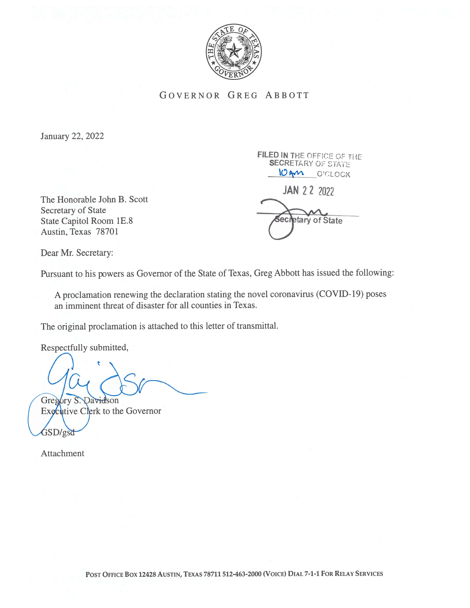

GOVERNOR GREG ABBOTT

January 22, 2022

The Honorable John B. Scott Secretary of State State Capitol Room 1E.8 Austin, Texas 78701

FILED IN THE OFFICE OF THE **SECRETARY OF STATE** 10AM O'CLOCK

JAN 2 2 2022

etary of State

Dear Mr. Secretary:

Pursuant to his powers as Governor of the State of Texas, Greg Abbott has issued the following:

A proclamation renewing the declaration stating the novel coronavirus (COVID- 19) poses an imminent threat of disaster for all counties in Texas.

The original proclamation is attached to this letter of transmittal.

Respectfully submitted,

The original proclamation is attached to this l<br>Respectfully submitted,<br>Gregory S. Davidson<br>Executive Clerk to the Governor

Executive Clerk to the Governor

Attachment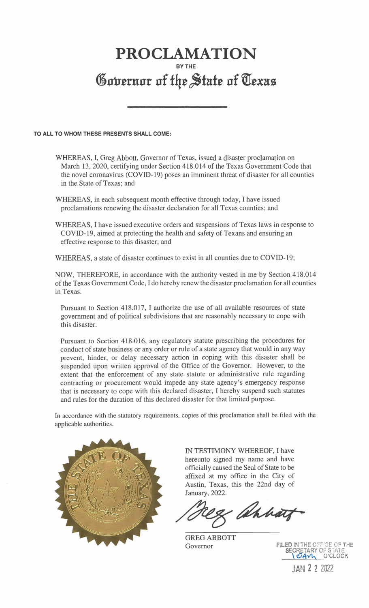## PROCLAMATION BY THE Governor of the State of Texas

## TO ALL TO WHOM THESE PRESENTS SHALL COME:

WHEREAS, I, Greg Abbott, Governor of Texas, issued a disaster proclamation on March 13, 2020, certifying under Section 418.014 of the Texas Government Code that the novel coronavirus (COVID-19) poses an imminent threat of disaster for all counties in the State of Texas; and

WHEREAS, in each subsequent month effective through today, I have issued proclamations renewing the disaster declaration for all Texas counties; and

WHEREAS, I have issued executive orders and suspensions of Texas laws in response to COVID- 19, aimed at protecting the health and safety of Texans and ensuring an effective response to this disaster; and

WHEREAS, a state of disaster continues to exist in all counties due to COVID-19;

NOW, THEREFORE, in accordance with the authority vested in me by Section 418.014 of the Texas Government Code, I do hereby renew the disaster proclamation for all counties in Texas.

Pursuant to Section 418.017, I authorize the use of all available resources of state government and of political subdivisions that are reasonably necessary to cope with this disaster.

Pursuant to Section 418.016, any regulatory statute prescribing the procedures for conduct of state business or any order or rule of a state agency that would in any way prevent, hinder, or delay necessary action in coping with this disaster shall be suspended upon written approval of the Office of the Governor. However, to the extent that the enforcement of any state statute or administrative rule regarding contracting or procurement would impede any state agency's emergency response that is necessary to cope with this declared disaster, I hereby suspend such statutes and rules for the duration of this declared disaster for that limited purpose.

In accordance with the statutory requirements, copies of this proclamation shall be filed with the applicable authorities.



IN TESTIMONY WHEREOF, I have hereunto signed my name and have officially caused the Seal of State to be affixed at my office in the City of Austin, Texas, this the 22nd day of January, 2022.

Chhatz

GREG ABBOTT Governor

FILED IN THE OFFICE OF THE SECRETARY OF STATE 1 O'CLOCK

JAN 2 2 2022